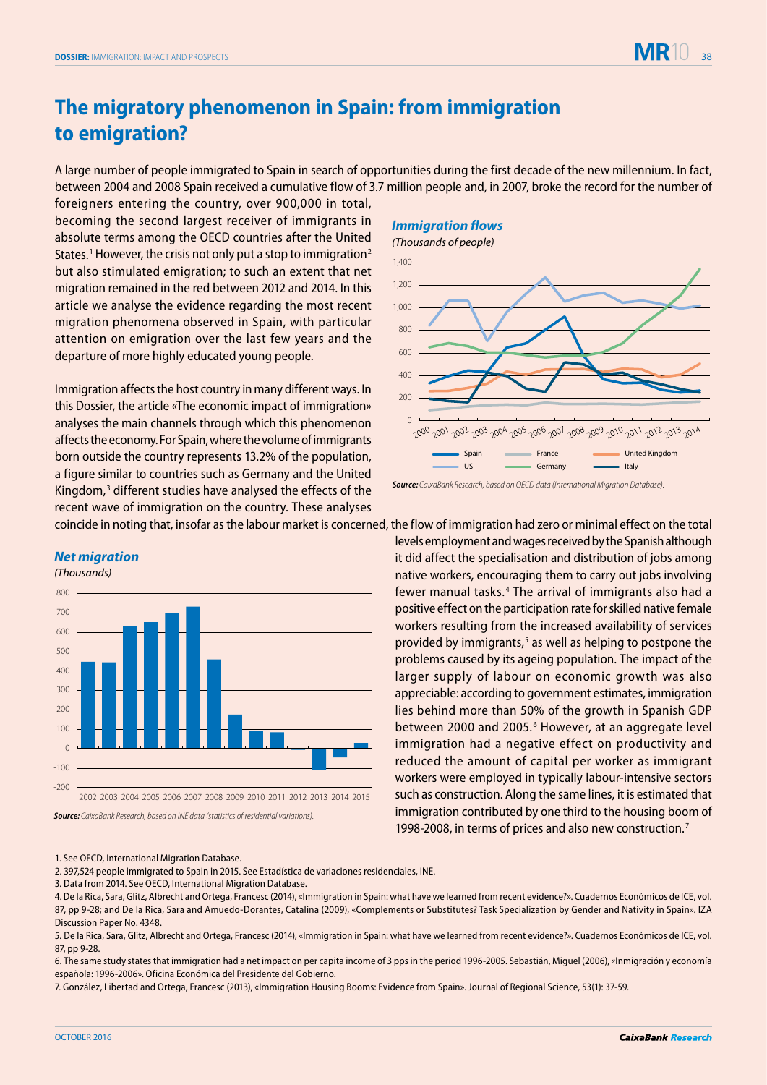## **The migratory phenomenon in Spain: from immigration to emigration?**

A large number of people immigrated to Spain in search of opportunities during the first decade of the new millennium. In fact, between 2004 and 2008 Spain received a cumulative flow of 3.7 million people and, in 2007, broke the record for the number of

foreigners entering the country, over 900,000 in total, becoming the second largest receiver of immigrants in absolute terms among the OECD countries after the United States.<sup>1</sup> However, the crisis not only put a stop to immigration<sup>2</sup> but also stimulated emigration; to such an extent that net migration remained in the red between 2012 and 2014. In this article we analyse the evidence regarding the most recent migration phenomena observed in Spain, with particular attention on emigration over the last few years and the departure of more highly educated young people.

Immigration affects the host country in many different ways. In this Dossier, the article «The economic impact of immigration» analyses the main channels through which this phenomenon affects the economy. For Spain, where the volume of immigrants born outside the country represents 13.2% of the population, a figure similar to countries such as Germany and the United Kingdom,<sup>3</sup> different studies have analysed the effects of the recent wave of immigration on the country. These analyses coincide in noting that, insofar as the labour market is concerned, the flow of immigration had zero or minimal effect on the total

## **Immigration flows**



levels employment and wages received by the Spanish although it did affect the specialisation and distribution of jobs among native workers, encouraging them to carry out jobs involving fewer manual tasks. <sup>4</sup> The arrival of immigrants also had a positive effect on the participation rate for skilled native female workers resulting from the increased availability of services provided by immigrants,<sup>5</sup> as well as helping to postpone the problems caused by its ageing population. The impact of the larger supply of labour on economic growth was also appreciable: according to government estimates, immigration lies behind more than 50% of the growth in Spanish GDP between 2000 and 2005.<sup>6</sup> However, at an aggregate level immigration had a negative effect on productivity and reduced the amount of capital per worker as immigrant workers were employed in typically labour-intensive sectors such as construction. Along the same lines, it is estimated that immigration contributed by one third to the housing boom of 1998-2008, in terms of prices and also new construction.7

## **Net migration**

(Thousands)



**Source:** CaixaBank Research, based on INE data (statistics of residential variations).

1. See OECD, International Migration Database.

2. 397,524 people immigrated to Spain in 2015. See Estadística de variaciones residenciales, INE.

3. Data from 2014. See OECD, International Migration Database.

6. The same study states that immigration had a net impact on per capita income of 3 pps in the period 1996-2005. Sebastián, Miguel (2006), «Inmigración y economía española: 1996-2006». Oficina Económica del Presidente del Gobierno.

7. González, Libertad and Ortega, Francesc (2013), «Immigration Housing Booms: Evidence from Spain». Journal of Regional Science, 53(1): 37-59.

**Source:** CaixaBank Research, based on OECD data (International Migration Database).

<sup>4.</sup> De la Rica, Sara, Glitz, Albrecht and Ortega, Francesc (2014), «Immigration in Spain: what have we learned from recent evidence?». Cuadernos Económicos de ICE, vol. 87, pp 9-28; and De la Rica, Sara and Amuedo-Dorantes, Catalina (2009), «Complements or Substitutes? Task Specialization by Gender and Nativity in Spain». IZA Discussion Paper No. 4348.

<sup>5.</sup> De la Rica, Sara, Glitz, Albrecht and Ortega, Francesc (2014), «Immigration in Spain: what have we learned from recent evidence?». Cuadernos Económicos de ICE, vol. 87, pp 9-28.